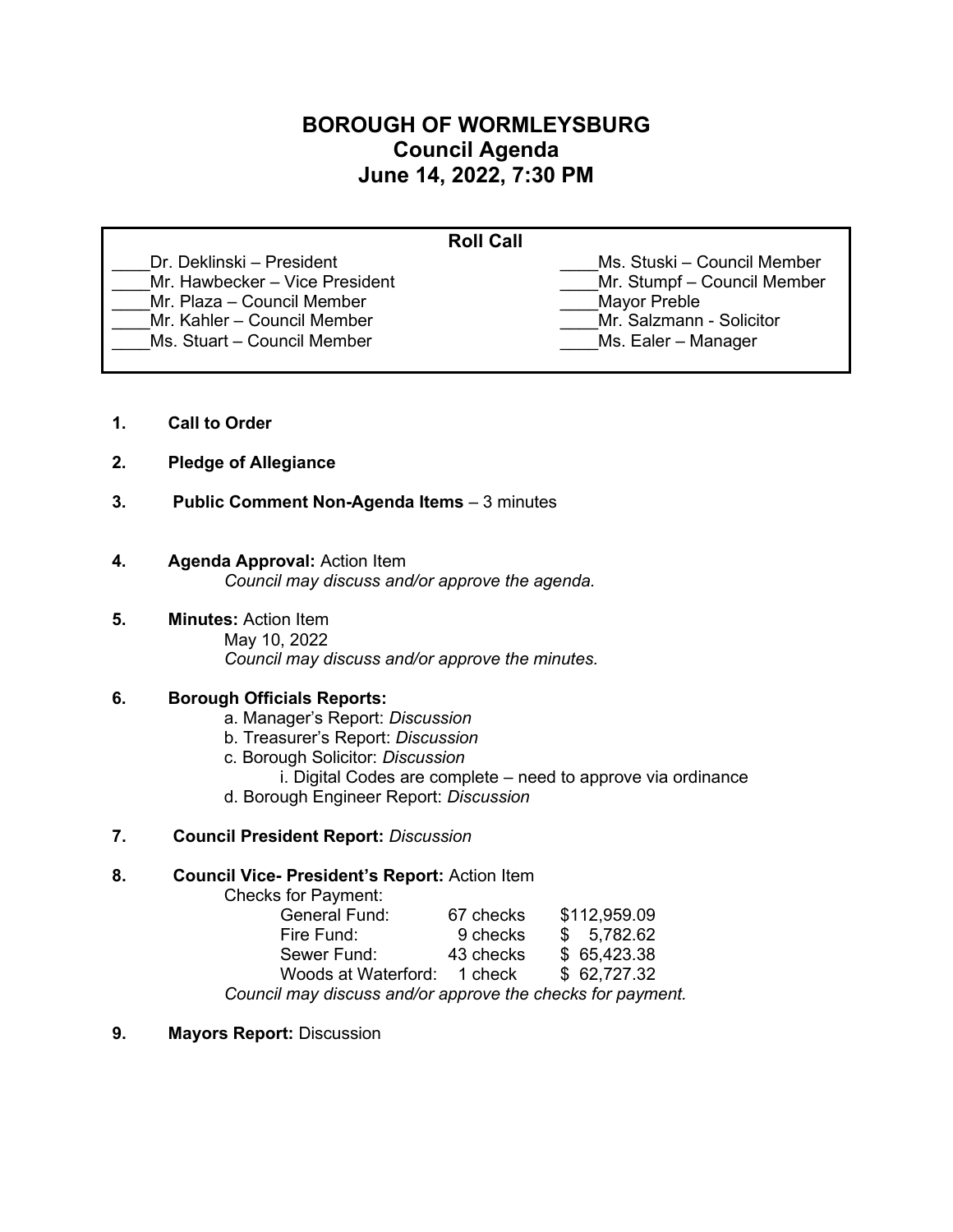# **BOROUGH OF WORMLEYSBURG Council Agenda June 14, 2022, 7:30 PM**

| <b>Roll Call</b>               |                             |
|--------------------------------|-----------------------------|
| Dr. Deklinski – President      | Ms. Stuski – Council Member |
| Mr. Hawbecker - Vice President | Mr. Stumpf - Council Member |
| Mr. Plaza - Council Member     | <b>Mayor Preble</b>         |
| Mr. Kahler - Council Member    | Mr. Salzmann - Solicitor    |
| Ms. Stuart - Council Member    | Ms. Ealer - Manager         |
|                                |                             |

- **1. Call to Order**
- **2. Pledge of Allegiance**
- **3. Public Comment Non-Agenda Items** 3 minutes

### **4. Agenda Approval:** Action Item

*Council may discuss and/or approve the agenda.*

**5. Minutes:** Action Item May 10, 2022 *Council may discuss and/or approve the minutes.* 

# **6. Borough Officials Reports:**

- a. Manager's Report: *Discussion*
- b. Treasurer's Report: *Discussion*
- c. Borough Solicitor: *Discussion*
	- i. Digital Codes are complete need to approve via ordinance
- d. Borough Engineer Report: *Discussion*
- **7. Council President Report:** *Discussion*

#### **8. Council Vice- President's Report:** Action Item

Checks for Payment:

| General Fund:                                              | 67 checks | \$112,959.09 |  |
|------------------------------------------------------------|-----------|--------------|--|
| Fire Fund:                                                 | 9 checks  | \$5,782.62   |  |
| Sewer Fund:                                                | 43 checks | \$65,423.38  |  |
| Woods at Waterford: 1 check                                |           | \$62.727.32  |  |
| Council may discuss and/or approve the checks for payment. |           |              |  |

**9. Mayors Report:** Discussion